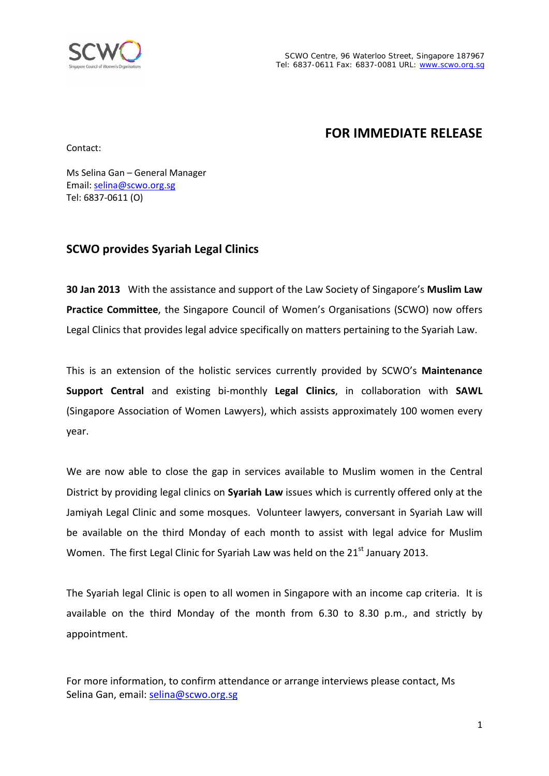

# **FOR IMMEDIATE RELEASE**

Contact:

Ms Selina Gan – General Manager Email: [selina@scwo.org.sg](mailto:selina@scwo.org.sg) Tel: 6837-0611 (O)

### **SCWO provides Syariah Legal Clinics**

**30 Jan 2013** With the assistance and support of the Law Society of Singapore's **Muslim Law Practice Committee**, the Singapore Council of Women's Organisations (SCWO) now offers Legal Clinics that provides legal advice specifically on matters pertaining to the Syariah Law.

This is an extension of the holistic services currently provided by SCWO's **Maintenance Support Central** and existing bi-monthly **Legal Clinics**, in collaboration with **SAWL** (Singapore Association of Women Lawyers), which assists approximately 100 women every year.

We are now able to close the gap in services available to Muslim women in the Central District by providing legal clinics on **Syariah Law** issues which is currently offered only at the Jamiyah Legal Clinic and some mosques. Volunteer lawyers, conversant in Syariah Law will be available on the third Monday of each month to assist with legal advice for Muslim Women. The first Legal Clinic for Syariah Law was held on the 21<sup>st</sup> January 2013.

The Syariah legal Clinic is open to all women in Singapore with an income cap criteria. It is available on the third Monday of the month from 6.30 to 8.30 p.m., and strictly by appointment.

For more information, to confirm attendance or arrange interviews please contact, Ms Selina Gan, email: [selina@scwo.org.sg](mailto:selina@scwo.org.sg)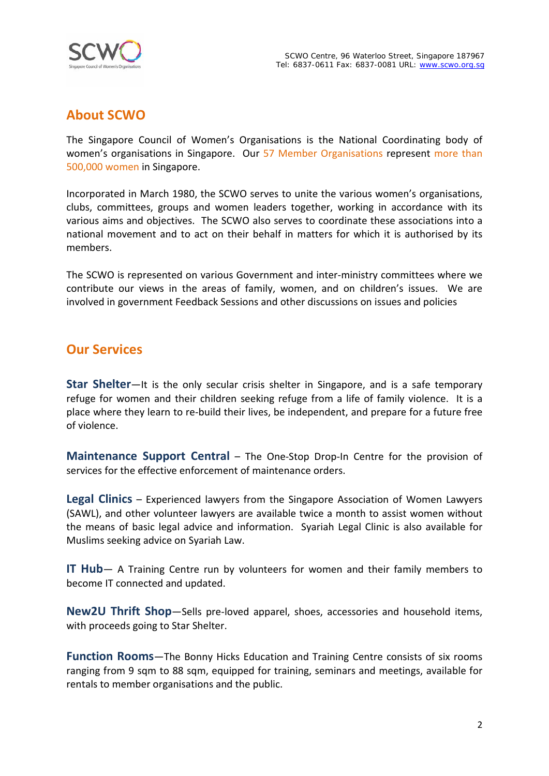

## **About SCWO**

The Singapore Council of Women's Organisations is the National Coordinating body of women's organisations in Singapore. Our 57 Member Organisations represent more than 500,000 women in Singapore.

Incorporated in March 1980, the SCWO serves to unite the various women's organisations, clubs, committees, groups and women leaders together, working in accordance with its various aims and objectives. The SCWO also serves to coordinate these associations into a national movement and to act on their behalf in matters for which it is authorised by its members.

The SCWO is represented on various Government and inter-ministry committees where we contribute our views in the areas of family, women, and on children's issues. We are involved in government Feedback Sessions and other discussions on issues and policies

#### **Our Services**

**Star Shelter**—It is the only secular crisis shelter in Singapore, and is a safe temporary refuge for women and their children seeking refuge from a life of family violence. It is a place where they learn to re-build their lives, be independent, and prepare for a future free of violence.

**Maintenance Support Central** – The One-Stop Drop-In Centre for the provision of services for the effective enforcement of maintenance orders.

**Legal Clinics** – Experienced lawyers from the Singapore Association of Women Lawyers (SAWL), and other volunteer lawyers are available twice a month to assist women without the means of basic legal advice and information. Syariah Legal Clinic is also available for Muslims seeking advice on Syariah Law.

**IT Hub**— A Training Centre run by volunteers for women and their family members to become IT connected and updated.

**New2U Thrift Shop**—Sells pre-loved apparel, shoes, accessories and household items, with proceeds going to Star Shelter.

**Function Rooms**—The Bonny Hicks Education and Training Centre consists of six rooms ranging from 9 sqm to 88 sqm, equipped for training, seminars and meetings, available for rentals to member organisations and the public.